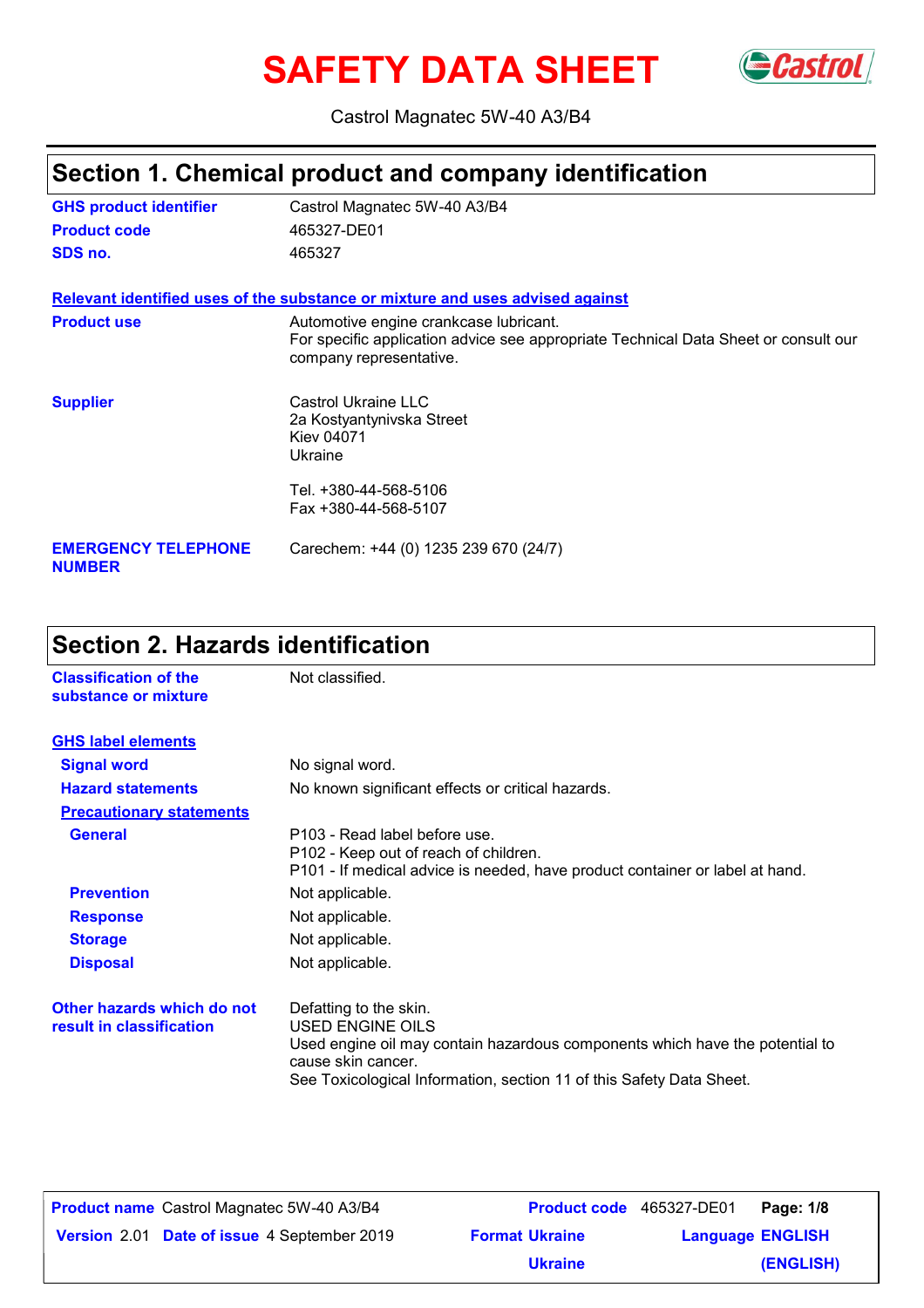# SAFETY DATA SHEET Gastrol



Castrol Magnatec 5W-40 A3/B4

# **Section 1. Chemical product and company identification**

| <b>GHS product identifier</b>               | Castrol Magnatec 5W-40 A3/B4                                                                                                                             |
|---------------------------------------------|----------------------------------------------------------------------------------------------------------------------------------------------------------|
| <b>Product code</b>                         | 465327-DE01                                                                                                                                              |
| SDS no.                                     | 465327                                                                                                                                                   |
|                                             | Relevant identified uses of the substance or mixture and uses advised against                                                                            |
| <b>Product use</b>                          | Automotive engine crankcase lubricant.<br>For specific application advice see appropriate Technical Data Sheet or consult our<br>company representative. |
| <b>Supplier</b>                             | Castrol Ukraine LLC<br>2a Kostyantynivska Street<br>Kiev 04071<br>Ukraine                                                                                |
|                                             | Tel. +380-44-568-5106<br>Fax +380-44-568-5107                                                                                                            |
| <b>EMERGENCY TELEPHONE</b><br><b>NUMBER</b> | Carechem: +44 (0) 1235 239 670 (24/7)                                                                                                                    |

# **Section 2. Hazards identification**

| <b>Classification of the</b><br>substance or mixture   | Not classified.                                                                                                                                                                                                                 |
|--------------------------------------------------------|---------------------------------------------------------------------------------------------------------------------------------------------------------------------------------------------------------------------------------|
| <b>GHS label elements</b>                              |                                                                                                                                                                                                                                 |
| <b>Signal word</b>                                     | No signal word.                                                                                                                                                                                                                 |
| <b>Hazard statements</b>                               | No known significant effects or critical hazards.                                                                                                                                                                               |
| <b>Precautionary statements</b>                        |                                                                                                                                                                                                                                 |
| <b>General</b>                                         | P103 - Read label before use.<br>P102 - Keep out of reach of children.<br>P101 - If medical advice is needed, have product container or label at hand.                                                                          |
| <b>Prevention</b>                                      | Not applicable.                                                                                                                                                                                                                 |
| <b>Response</b>                                        | Not applicable.                                                                                                                                                                                                                 |
| <b>Storage</b>                                         | Not applicable.                                                                                                                                                                                                                 |
| <b>Disposal</b>                                        | Not applicable.                                                                                                                                                                                                                 |
| Other hazards which do not<br>result in classification | Defatting to the skin.<br><b>USED ENGINE OILS</b><br>Used engine oil may contain hazardous components which have the potential to<br>cause skin cancer.<br>See Toxicological Information, section 11 of this Safety Data Sheet. |

| <b>Product name</b> Castrol Magnatec 5W-40 A3/B4   | <b>Product code</b> 465327-DE01 |                         | Page: 1/8 |
|----------------------------------------------------|---------------------------------|-------------------------|-----------|
| <b>Version</b> 2.01 Date of issue 4 September 2019 | <b>Format Ukraine</b>           | <b>Language ENGLISH</b> |           |
|                                                    | <b>Ukraine</b>                  |                         | (ENGLISH) |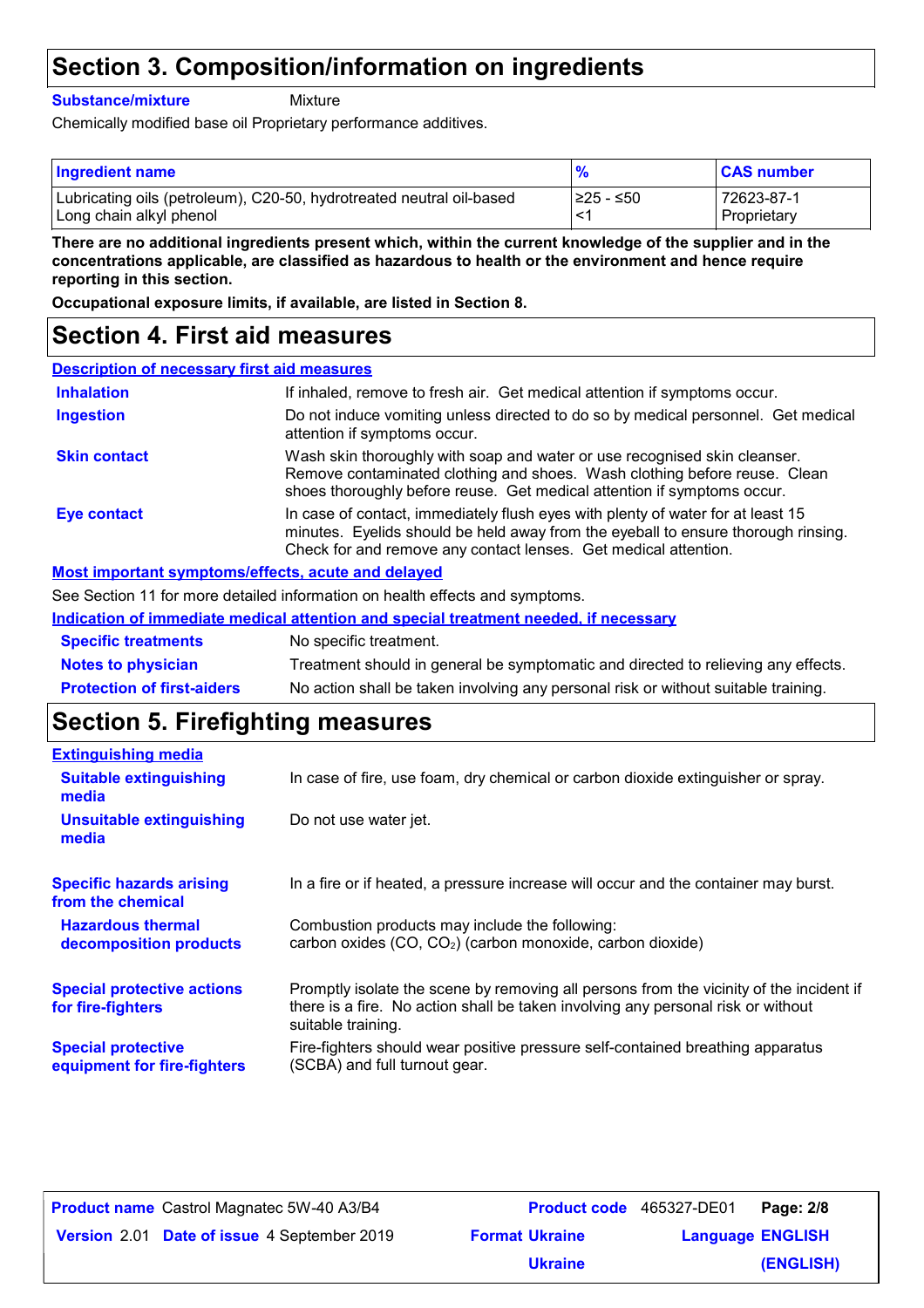# **Section 3. Composition/information on ingredients**

#### **Substance/mixture**

Mixture

Chemically modified base oil Proprietary performance additives.

| <b>Ingredient name</b>                                               |            | <b>CAS number</b> |
|----------------------------------------------------------------------|------------|-------------------|
| Lubricating oils (petroleum), C20-50, hydrotreated neutral oil-based | 1≥25 - ≤50 | 72623-87-1        |
| Long chain alkyl phenol                                              | $\prec$    | Proprietary       |

**There are no additional ingredients present which, within the current knowledge of the supplier and in the concentrations applicable, are classified as hazardous to health or the environment and hence require reporting in this section.**

**Occupational exposure limits, if available, are listed in Section 8.**

### **Section 4. First aid measures**

#### **Description of necessary first aid measures**

| <b>Inhalation</b>                                  | If inhaled, remove to fresh air. Get medical attention if symptoms occur.                                                                                                                                                               |
|----------------------------------------------------|-----------------------------------------------------------------------------------------------------------------------------------------------------------------------------------------------------------------------------------------|
| <b>Ingestion</b>                                   | Do not induce vomiting unless directed to do so by medical personnel. Get medical<br>attention if symptoms occur.                                                                                                                       |
| <b>Skin contact</b>                                | Wash skin thoroughly with soap and water or use recognised skin cleanser.<br>Remove contaminated clothing and shoes. Wash clothing before reuse. Clean<br>shoes thoroughly before reuse. Get medical attention if symptoms occur.       |
| <b>Eye contact</b>                                 | In case of contact, immediately flush eyes with plenty of water for at least 15<br>minutes. Eyelids should be held away from the eyeball to ensure thorough rinsing.<br>Check for and remove any contact lenses. Get medical attention. |
| Most important symptoms/effects, acute and delayed |                                                                                                                                                                                                                                         |

### See Section 11 for more detailed information on health effects and symptoms.

|                                   | See Secuoli TT for filore detailed information on Health effects and symptoms.       |
|-----------------------------------|--------------------------------------------------------------------------------------|
|                                   | Indication of immediate medical attention and special treatment needed, if necessary |
| <b>Specific treatments</b>        | No specific treatment.                                                               |
| <b>Notes to physician</b>         | Treatment should in general be symptomatic and directed to relieving any effects.    |
| <b>Protection of first-aiders</b> | No action shall be taken involving any personal risk or without suitable training.   |

### **Section 5. Firefighting measures**

| <b>Extinguishing media</b>                               |                                                                                                                                                                                                   |
|----------------------------------------------------------|---------------------------------------------------------------------------------------------------------------------------------------------------------------------------------------------------|
| <b>Suitable extinguishing</b><br>media                   | In case of fire, use foam, dry chemical or carbon dioxide extinguisher or spray.                                                                                                                  |
| <b>Unsuitable extinguishing</b><br>media                 | Do not use water jet.                                                                                                                                                                             |
| <b>Specific hazards arising</b><br>from the chemical     | In a fire or if heated, a pressure increase will occur and the container may burst.                                                                                                               |
| <b>Hazardous thermal</b><br>decomposition products       | Combustion products may include the following:<br>carbon oxides (CO, CO <sub>2</sub> ) (carbon monoxide, carbon dioxide)                                                                          |
| <b>Special protective actions</b><br>for fire-fighters   | Promptly isolate the scene by removing all persons from the vicinity of the incident if<br>there is a fire. No action shall be taken involving any personal risk or without<br>suitable training. |
| <b>Special protective</b><br>equipment for fire-fighters | Fire-fighters should wear positive pressure self-contained breathing apparatus<br>(SCBA) and full turnout gear.                                                                                   |

| <b>Product name</b> Castrol Magnatec 5W-40 A3/B4 | <b>Product code</b> 465327-DE01 |                         | Page: 2/8 |
|--------------------------------------------------|---------------------------------|-------------------------|-----------|
| Version 2.01 Date of issue 4 September 2019      | <b>Format Ukraine</b>           | <b>Language ENGLISH</b> |           |
|                                                  | <b>Ukraine</b>                  |                         | (ENGLISH) |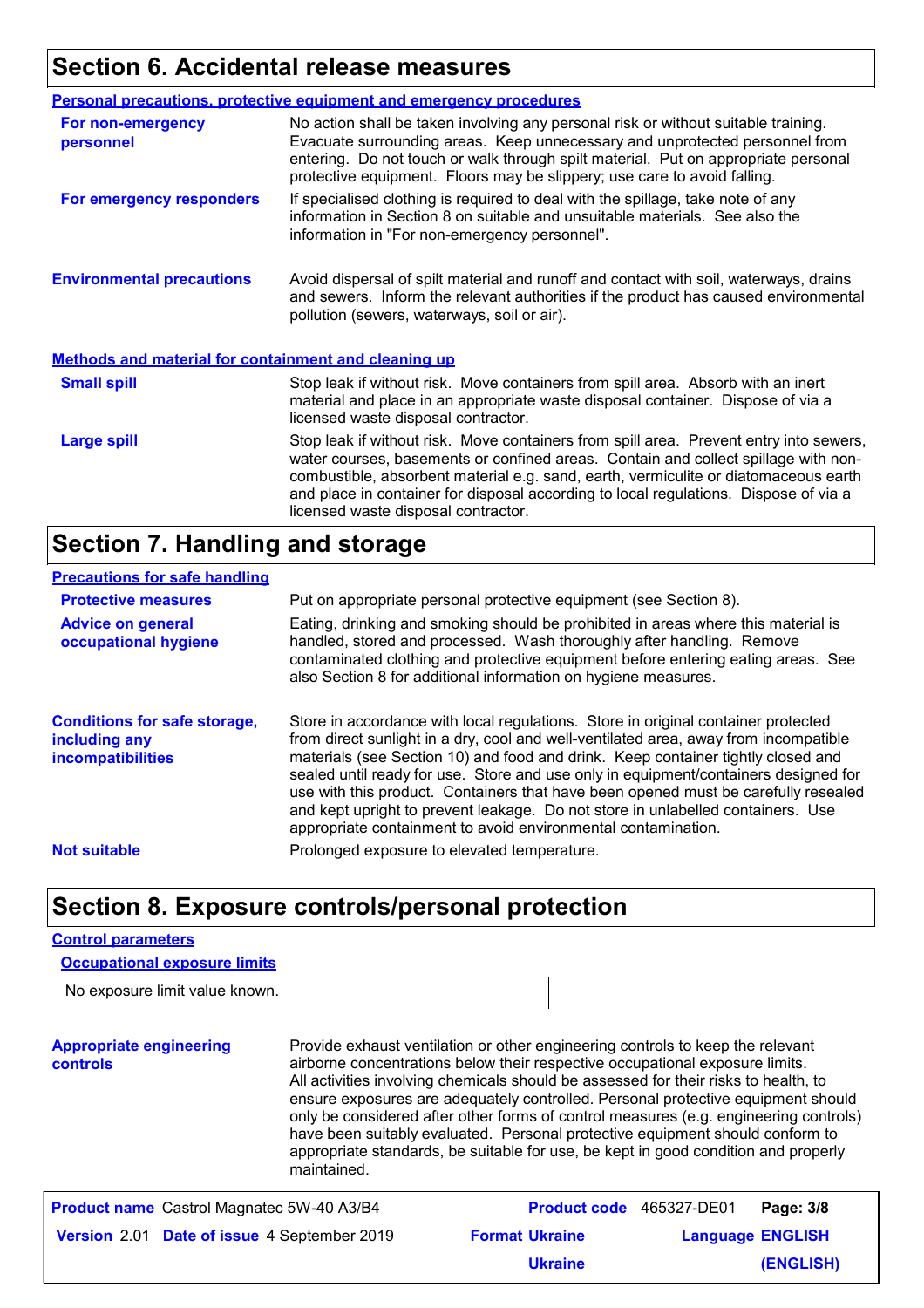### **Section 6. Accidental release measures**

|                                                             | <b>Personal precautions, protective equipment and emergency procedures</b>                                                                                                                                                                                                                                                                                                                         |
|-------------------------------------------------------------|----------------------------------------------------------------------------------------------------------------------------------------------------------------------------------------------------------------------------------------------------------------------------------------------------------------------------------------------------------------------------------------------------|
| For non-emergency<br>personnel                              | No action shall be taken involving any personal risk or without suitable training.<br>Evacuate surrounding areas. Keep unnecessary and unprotected personnel from<br>entering. Do not touch or walk through spilt material. Put on appropriate personal<br>protective equipment. Floors may be slippery; use care to avoid falling.                                                                |
| For emergency responders                                    | If specialised clothing is required to deal with the spillage, take note of any<br>information in Section 8 on suitable and unsuitable materials. See also the<br>information in "For non-emergency personnel".                                                                                                                                                                                    |
| <b>Environmental precautions</b>                            | Avoid dispersal of spilt material and runoff and contact with soil, waterways, drains<br>and sewers. Inform the relevant authorities if the product has caused environmental<br>pollution (sewers, waterways, soil or air).                                                                                                                                                                        |
| <b>Methods and material for containment and cleaning up</b> |                                                                                                                                                                                                                                                                                                                                                                                                    |
| <b>Small spill</b>                                          | Stop leak if without risk. Move containers from spill area. Absorb with an inert<br>material and place in an appropriate waste disposal container. Dispose of via a<br>licensed waste disposal contractor.                                                                                                                                                                                         |
| <b>Large spill</b>                                          | Stop leak if without risk. Move containers from spill area. Prevent entry into sewers,<br>water courses, basements or confined areas. Contain and collect spillage with non-<br>combustible, absorbent material e.g. sand, earth, vermiculite or diatomaceous earth<br>and place in container for disposal according to local regulations. Dispose of via a<br>licensed waste disposal contractor. |

### **Section 7. Handling and storage**

#### **Precautions for safe handling**

| <b>Protective measures</b><br><b>Advice on general</b><br>occupational hygiene | Put on appropriate personal protective equipment (see Section 8).<br>Eating, drinking and smoking should be prohibited in areas where this material is<br>handled, stored and processed. Wash thoroughly after handling. Remove<br>contaminated clothing and protective equipment before entering eating areas. See<br>also Section 8 for additional information on hygiene measures.                                                                                                                                                                                                          |
|--------------------------------------------------------------------------------|------------------------------------------------------------------------------------------------------------------------------------------------------------------------------------------------------------------------------------------------------------------------------------------------------------------------------------------------------------------------------------------------------------------------------------------------------------------------------------------------------------------------------------------------------------------------------------------------|
| <b>Conditions for safe storage,</b><br>including any<br>incompatibilities      | Store in accordance with local regulations. Store in original container protected<br>from direct sunlight in a dry, cool and well-ventilated area, away from incompatible<br>materials (see Section 10) and food and drink. Keep container tightly closed and<br>sealed until ready for use. Store and use only in equipment/containers designed for<br>use with this product. Containers that have been opened must be carefully resealed<br>and kept upright to prevent leakage. Do not store in unlabelled containers. Use<br>appropriate containment to avoid environmental contamination. |
| <b>Not suitable</b>                                                            | Prolonged exposure to elevated temperature.                                                                                                                                                                                                                                                                                                                                                                                                                                                                                                                                                    |

### **Section 8. Exposure controls/personal protection**

#### **Control parameters**

**Occupational exposure limits**

No exposure limit value known.

#### **Appropriate engineering controls**

Provide exhaust ventilation or other engineering controls to keep the relevant airborne concentrations below their respective occupational exposure limits. All activities involving chemicals should be assessed for their risks to health, to ensure exposures are adequately controlled. Personal protective equipment should only be considered after other forms of control measures (e.g. engineering controls) have been suitably evaluated. Personal protective equipment should conform to appropriate standards, be suitable for use, be kept in good condition and properly maintained.

| <b>Product name</b> Castrol Magnatec 5W-40 A3/B4   | <b>Product code</b> 465327-DE01 |                         | Page: 3/8 |
|----------------------------------------------------|---------------------------------|-------------------------|-----------|
| <b>Version</b> 2.01 Date of issue 4 September 2019 | <b>Format Ukraine</b>           | <b>Language ENGLISH</b> |           |
|                                                    | <b>Ukraine</b>                  |                         | (ENGLISH) |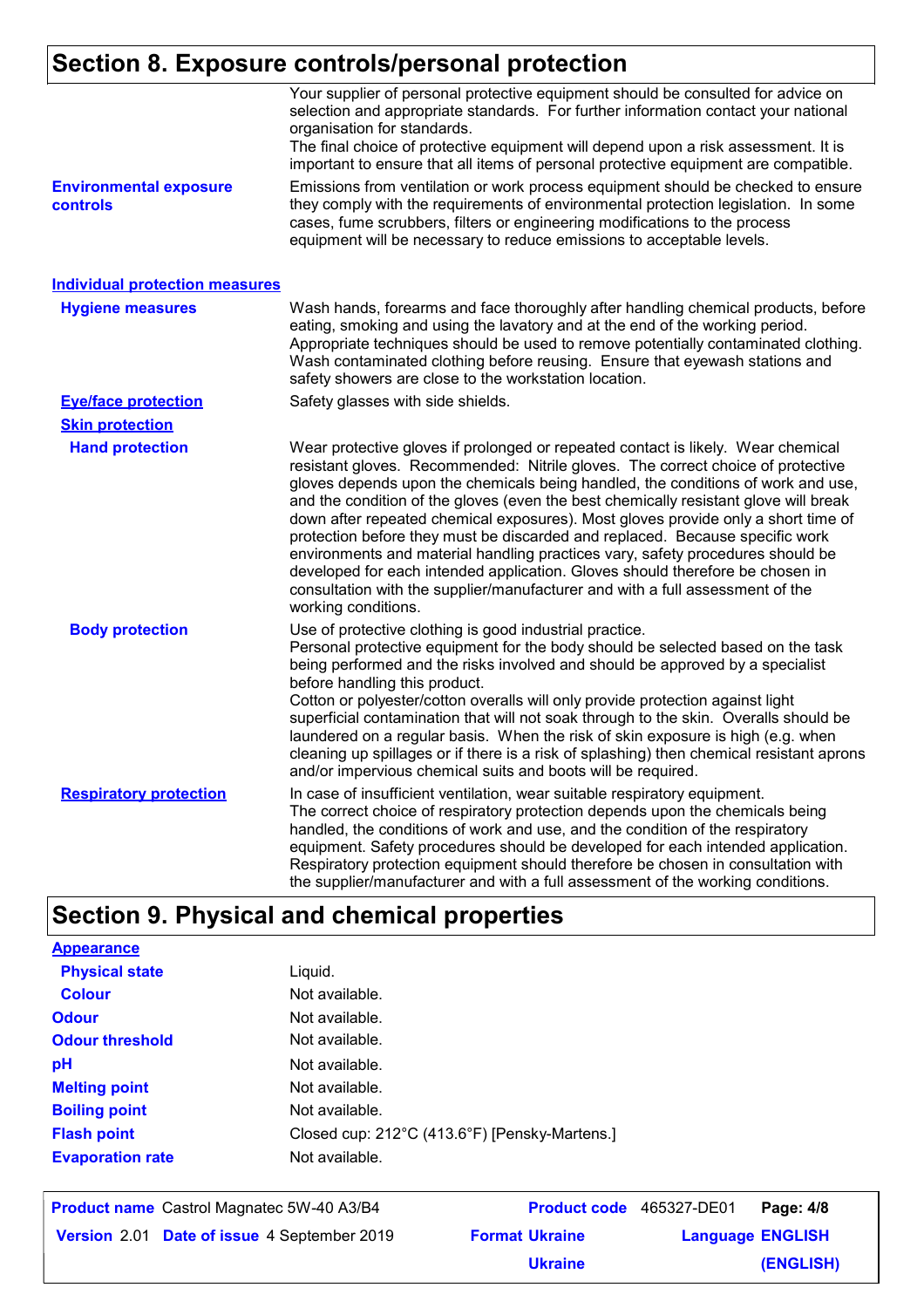# **Section 8. Exposure controls/personal protection**

|                                           | Your supplier of personal protective equipment should be consulted for advice on<br>selection and appropriate standards. For further information contact your national<br>organisation for standards.<br>The final choice of protective equipment will depend upon a risk assessment. It is<br>important to ensure that all items of personal protective equipment are compatible.                                                                                                                                                                                                                                                                                                                                                                                                              |
|-------------------------------------------|-------------------------------------------------------------------------------------------------------------------------------------------------------------------------------------------------------------------------------------------------------------------------------------------------------------------------------------------------------------------------------------------------------------------------------------------------------------------------------------------------------------------------------------------------------------------------------------------------------------------------------------------------------------------------------------------------------------------------------------------------------------------------------------------------|
| <b>Environmental exposure</b><br>controls | Emissions from ventilation or work process equipment should be checked to ensure<br>they comply with the requirements of environmental protection legislation. In some<br>cases, fume scrubbers, filters or engineering modifications to the process<br>equipment will be necessary to reduce emissions to acceptable levels.                                                                                                                                                                                                                                                                                                                                                                                                                                                                   |
| <b>Individual protection measures</b>     |                                                                                                                                                                                                                                                                                                                                                                                                                                                                                                                                                                                                                                                                                                                                                                                                 |
| <b>Hygiene measures</b>                   | Wash hands, forearms and face thoroughly after handling chemical products, before<br>eating, smoking and using the lavatory and at the end of the working period.<br>Appropriate techniques should be used to remove potentially contaminated clothing.<br>Wash contaminated clothing before reusing. Ensure that eyewash stations and<br>safety showers are close to the workstation location.                                                                                                                                                                                                                                                                                                                                                                                                 |
| <b>Eye/face protection</b>                | Safety glasses with side shields.                                                                                                                                                                                                                                                                                                                                                                                                                                                                                                                                                                                                                                                                                                                                                               |
| <b>Skin protection</b>                    |                                                                                                                                                                                                                                                                                                                                                                                                                                                                                                                                                                                                                                                                                                                                                                                                 |
| <b>Hand protection</b>                    | Wear protective gloves if prolonged or repeated contact is likely. Wear chemical<br>resistant gloves. Recommended: Nitrile gloves. The correct choice of protective<br>gloves depends upon the chemicals being handled, the conditions of work and use,<br>and the condition of the gloves (even the best chemically resistant glove will break<br>down after repeated chemical exposures). Most gloves provide only a short time of<br>protection before they must be discarded and replaced. Because specific work<br>environments and material handling practices vary, safety procedures should be<br>developed for each intended application. Gloves should therefore be chosen in<br>consultation with the supplier/manufacturer and with a full assessment of the<br>working conditions. |
| <b>Body protection</b>                    | Use of protective clothing is good industrial practice.<br>Personal protective equipment for the body should be selected based on the task<br>being performed and the risks involved and should be approved by a specialist<br>before handling this product.<br>Cotton or polyester/cotton overalls will only provide protection against light<br>superficial contamination that will not soak through to the skin. Overalls should be<br>laundered on a regular basis. When the risk of skin exposure is high (e.g. when<br>cleaning up spillages or if there is a risk of splashing) then chemical resistant aprons<br>and/or impervious chemical suits and boots will be required.                                                                                                           |
| <b>Respiratory protection</b>             | In case of insufficient ventilation, wear suitable respiratory equipment.<br>The correct choice of respiratory protection depends upon the chemicals being<br>handled, the conditions of work and use, and the condition of the respiratory<br>equipment. Safety procedures should be developed for each intended application.<br>Respiratory protection equipment should therefore be chosen in consultation with<br>the supplier/manufacturer and with a full assessment of the working conditions.                                                                                                                                                                                                                                                                                           |

# **Section 9. Physical and chemical properties**

| <b>Version</b> 2.01 Date of issue 4 September 2019 |                | <b>Format Ukraine</b>                         |             | <b>Language ENGLISH</b> |
|----------------------------------------------------|----------------|-----------------------------------------------|-------------|-------------------------|
| <b>Product name</b> Castrol Magnatec 5W-40 A3/B4   |                | <b>Product code</b>                           | 465327-DE01 | Page: 4/8               |
| <b>Evaporation rate</b>                            | Not available. |                                               |             |                         |
| <b>Flash point</b>                                 |                | Closed cup: 212°C (413.6°F) [Pensky-Martens.] |             |                         |
| <b>Boiling point</b>                               | Not available. |                                               |             |                         |
| <b>Melting point</b>                               | Not available. |                                               |             |                         |
| pH                                                 | Not available. |                                               |             |                         |
| <b>Odour threshold</b>                             | Not available. |                                               |             |                         |
| <b>Odour</b>                                       | Not available. |                                               |             |                         |
| <b>Colour</b>                                      | Not available. |                                               |             |                         |
| <b>Physical state</b>                              | Liquid.        |                                               |             |                         |
| <b>Appearance</b>                                  |                |                                               |             |                         |

**Ukraine**

**(ENGLISH)**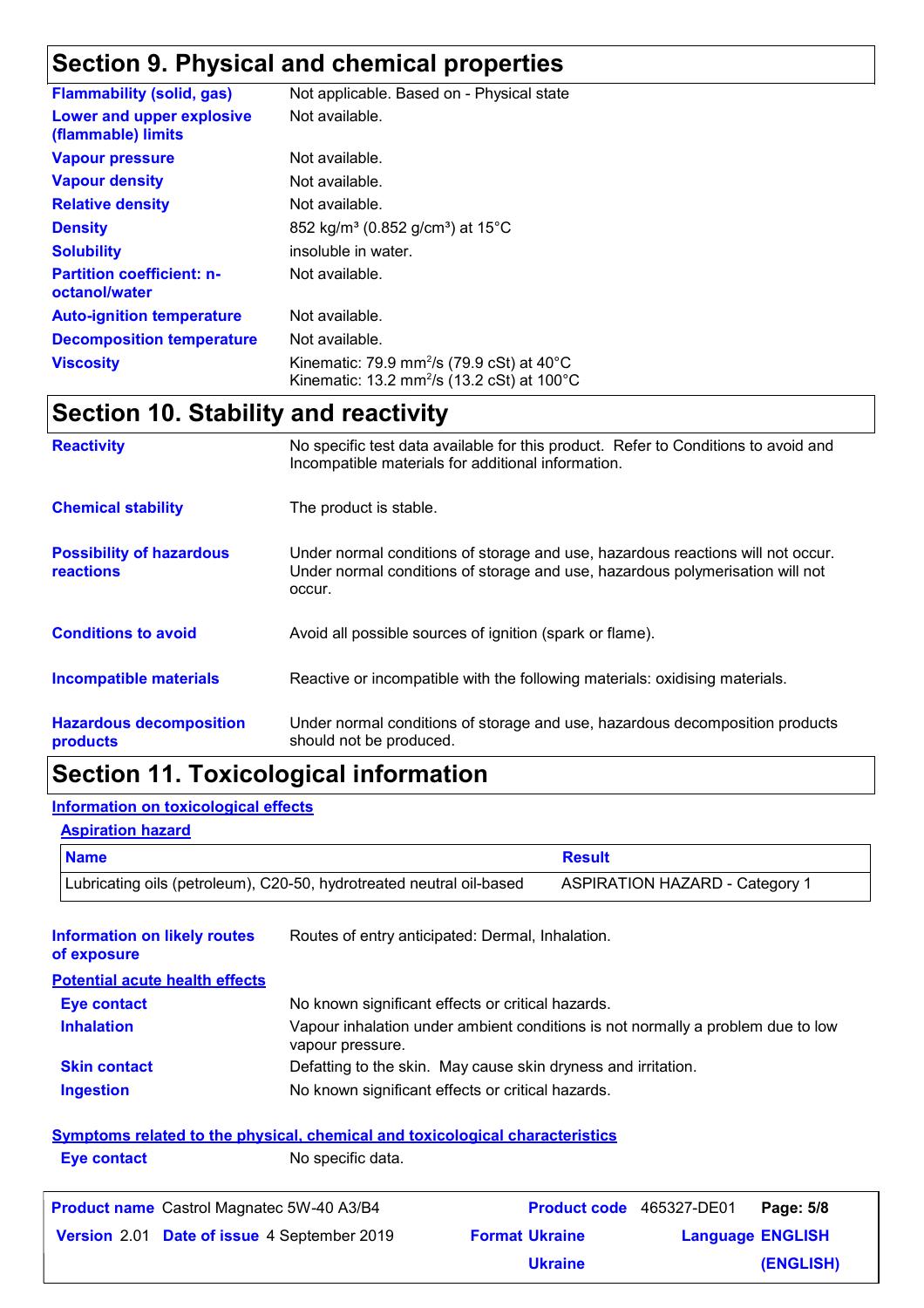# **Section 9. Physical and chemical properties**

| <b>Flammability (solid, gas)</b>                  | Not applicable. Based on - Physical state                                                                                 |
|---------------------------------------------------|---------------------------------------------------------------------------------------------------------------------------|
| Lower and upper explosive<br>(flammable) limits   | Not available.                                                                                                            |
| <b>Vapour pressure</b>                            | Not available.                                                                                                            |
| <b>Vapour density</b>                             | Not available.                                                                                                            |
| <b>Relative density</b>                           | Not available.                                                                                                            |
| <b>Density</b>                                    | 852 kg/m <sup>3</sup> (0.852 g/cm <sup>3</sup> ) at 15°C                                                                  |
| <b>Solubility</b>                                 | insoluble in water.                                                                                                       |
| <b>Partition coefficient: n-</b><br>octanol/water | Not available.                                                                                                            |
| <b>Auto-ignition temperature</b>                  | Not available.                                                                                                            |
| <b>Decomposition temperature</b>                  | Not available.                                                                                                            |
| <b>Viscosity</b>                                  | Kinematic: 79.9 mm <sup>2</sup> /s (79.9 cSt) at $40^{\circ}$ C<br>Kinematic: 13.2 mm <sup>2</sup> /s (13.2 cSt) at 100°C |

# **Section 10. Stability and reactivity**

| <b>Reactivity</b>                            | No specific test data available for this product. Refer to Conditions to avoid and<br>Incompatible materials for additional information.                                   |
|----------------------------------------------|----------------------------------------------------------------------------------------------------------------------------------------------------------------------------|
| <b>Chemical stability</b>                    | The product is stable.                                                                                                                                                     |
| <b>Possibility of hazardous</b><br>reactions | Under normal conditions of storage and use, hazardous reactions will not occur.<br>Under normal conditions of storage and use, hazardous polymerisation will not<br>occur. |
| <b>Conditions to avoid</b>                   | Avoid all possible sources of ignition (spark or flame).                                                                                                                   |
| <b>Incompatible materials</b>                | Reactive or incompatible with the following materials: oxidising materials.                                                                                                |
| <b>Hazardous decomposition</b><br>products   | Under normal conditions of storage and use, hazardous decomposition products<br>should not be produced.                                                                    |

# **Section 11. Toxicological information**

### **Information on toxicological effects**

#### **Aspiration hazard**

| <b>Name</b>                                                          | <b>Result</b>                         |
|----------------------------------------------------------------------|---------------------------------------|
| Lubricating oils (petroleum), C20-50, hydrotreated neutral oil-based | <b>ASPIRATION HAZARD - Category 1</b> |

| <b>Information on likely routes</b><br>of exposure                                  | Routes of entry anticipated: Dermal, Inhalation.              |                                                                                 |                          |  |                         |
|-------------------------------------------------------------------------------------|---------------------------------------------------------------|---------------------------------------------------------------------------------|--------------------------|--|-------------------------|
| <b>Potential acute health effects</b>                                               |                                                               |                                                                                 |                          |  |                         |
| <b>Eye contact</b>                                                                  | No known significant effects or critical hazards.             |                                                                                 |                          |  |                         |
| <b>Inhalation</b>                                                                   | vapour pressure.                                              | Vapour inhalation under ambient conditions is not normally a problem due to low |                          |  |                         |
| <b>Skin contact</b>                                                                 | Defatting to the skin. May cause skin dryness and irritation. |                                                                                 |                          |  |                         |
| <b>Ingestion</b>                                                                    | No known significant effects or critical hazards.             |                                                                                 |                          |  |                         |
| <b>Symptoms related to the physical, chemical and toxicological characteristics</b> |                                                               |                                                                                 |                          |  |                         |
| <b>Eye contact</b>                                                                  | No specific data.                                             |                                                                                 |                          |  |                         |
| <b>Product name</b> Castrol Magnatec 5W-40 A3/B4                                    |                                                               |                                                                                 | Product code 465327-DE01 |  | Page: 5/8               |
| Version 2.01 Date of issue 4 September 2019                                         |                                                               |                                                                                 | <b>Format Ukraine</b>    |  | <b>Language ENGLISH</b> |
|                                                                                     |                                                               |                                                                                 | <b>Ukraine</b>           |  | (ENGLISH)               |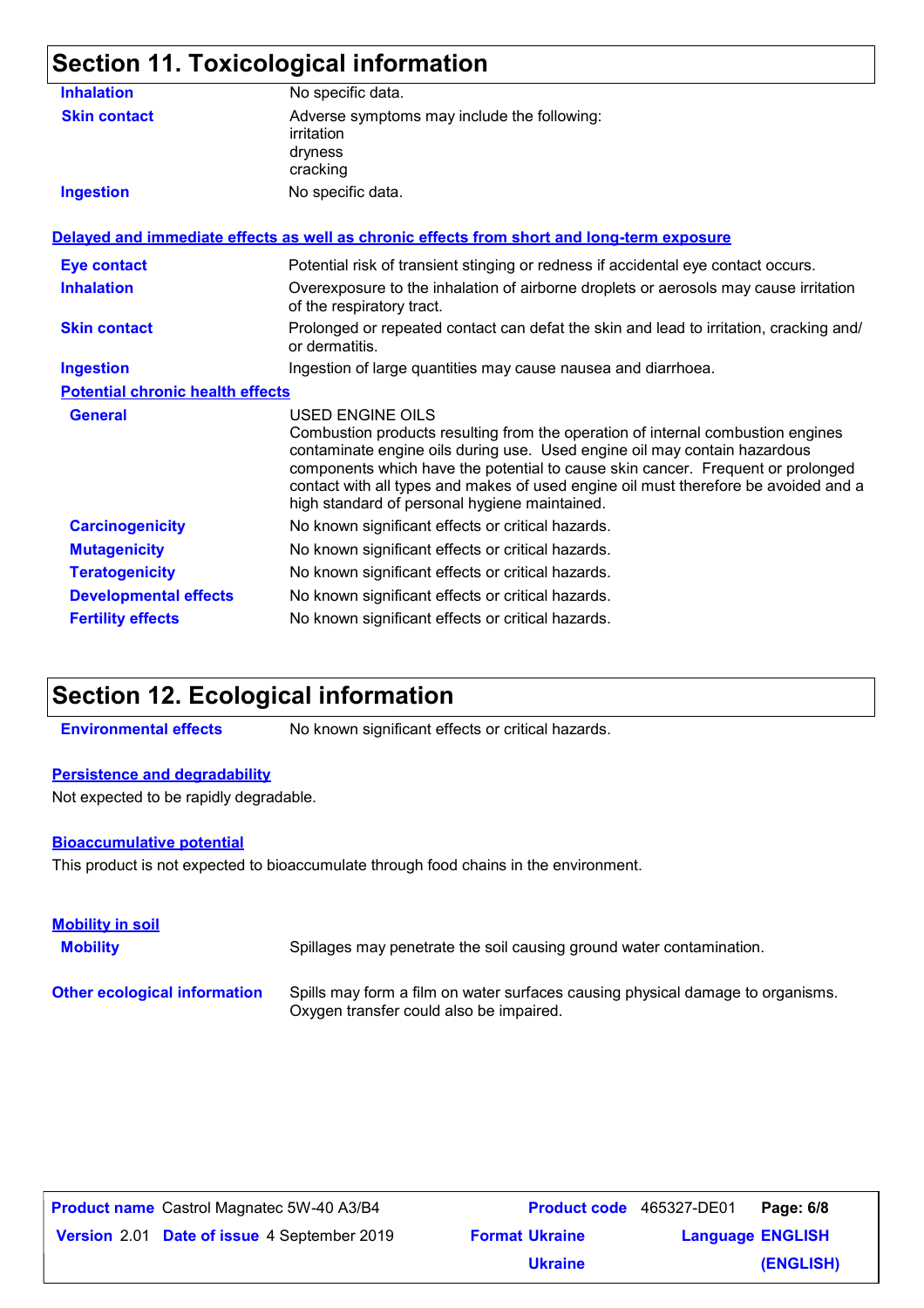# **Section 11. Toxicological information**

| <b>Inhalation</b>                       | No specific data.                                                                                                                                                                                                                                                                                                                                                                                           |
|-----------------------------------------|-------------------------------------------------------------------------------------------------------------------------------------------------------------------------------------------------------------------------------------------------------------------------------------------------------------------------------------------------------------------------------------------------------------|
| <b>Skin contact</b>                     | Adverse symptoms may include the following:<br>irritation<br>dryness<br>cracking                                                                                                                                                                                                                                                                                                                            |
| <b>Ingestion</b>                        | No specific data.                                                                                                                                                                                                                                                                                                                                                                                           |
|                                         | Delayed and immediate effects as well as chronic effects from short and long-term exposure                                                                                                                                                                                                                                                                                                                  |
| <b>Eye contact</b>                      | Potential risk of transient stinging or redness if accidental eye contact occurs.                                                                                                                                                                                                                                                                                                                           |
| <b>Inhalation</b>                       | Overexposure to the inhalation of airborne droplets or aerosols may cause irritation<br>of the respiratory tract.                                                                                                                                                                                                                                                                                           |
| <b>Skin contact</b>                     | Prolonged or repeated contact can defat the skin and lead to irritation, cracking and/<br>or dermatitis.                                                                                                                                                                                                                                                                                                    |
| <b>Ingestion</b>                        | Ingestion of large quantities may cause nausea and diarrhoea.                                                                                                                                                                                                                                                                                                                                               |
| <b>Potential chronic health effects</b> |                                                                                                                                                                                                                                                                                                                                                                                                             |
| <b>General</b>                          | USED ENGINE OILS<br>Combustion products resulting from the operation of internal combustion engines<br>contaminate engine oils during use. Used engine oil may contain hazardous<br>components which have the potential to cause skin cancer. Frequent or prolonged<br>contact with all types and makes of used engine oil must therefore be avoided and a<br>high standard of personal hygiene maintained. |
| <b>Carcinogenicity</b>                  | No known significant effects or critical hazards.                                                                                                                                                                                                                                                                                                                                                           |
| <b>Mutagenicity</b>                     | No known significant effects or critical hazards.                                                                                                                                                                                                                                                                                                                                                           |
| <b>Teratogenicity</b>                   | No known significant effects or critical hazards.                                                                                                                                                                                                                                                                                                                                                           |
| <b>Developmental effects</b>            | No known significant effects or critical hazards.                                                                                                                                                                                                                                                                                                                                                           |
| <b>Fertility effects</b>                | No known significant effects or critical hazards.                                                                                                                                                                                                                                                                                                                                                           |
|                                         |                                                                                                                                                                                                                                                                                                                                                                                                             |

# **Section 12. Ecological information**

**Environmental effects** No known significant effects or critical hazards.

### **Persistence and degradability**

Not expected to be rapidly degradable.

### **Bioaccumulative potential**

This product is not expected to bioaccumulate through food chains in the environment.

| <b>Mobility in soil</b><br><b>Mobility</b> | Spillages may penetrate the soil causing ground water contamination.                                                      |
|--------------------------------------------|---------------------------------------------------------------------------------------------------------------------------|
| <b>Other ecological information</b>        | Spills may form a film on water surfaces causing physical damage to organisms.<br>Oxygen transfer could also be impaired. |

| <b>Product name</b> Castrol Magnatec 5W-40 A3/B4   | <b>Product code</b> 465327-DE01 |                         | Page: 6/8 |
|----------------------------------------------------|---------------------------------|-------------------------|-----------|
| <b>Version</b> 2.01 Date of issue 4 September 2019 | <b>Format Ukraine</b>           | <b>Language ENGLISH</b> |           |
|                                                    | <b>Ukraine</b>                  |                         | (ENGLISH) |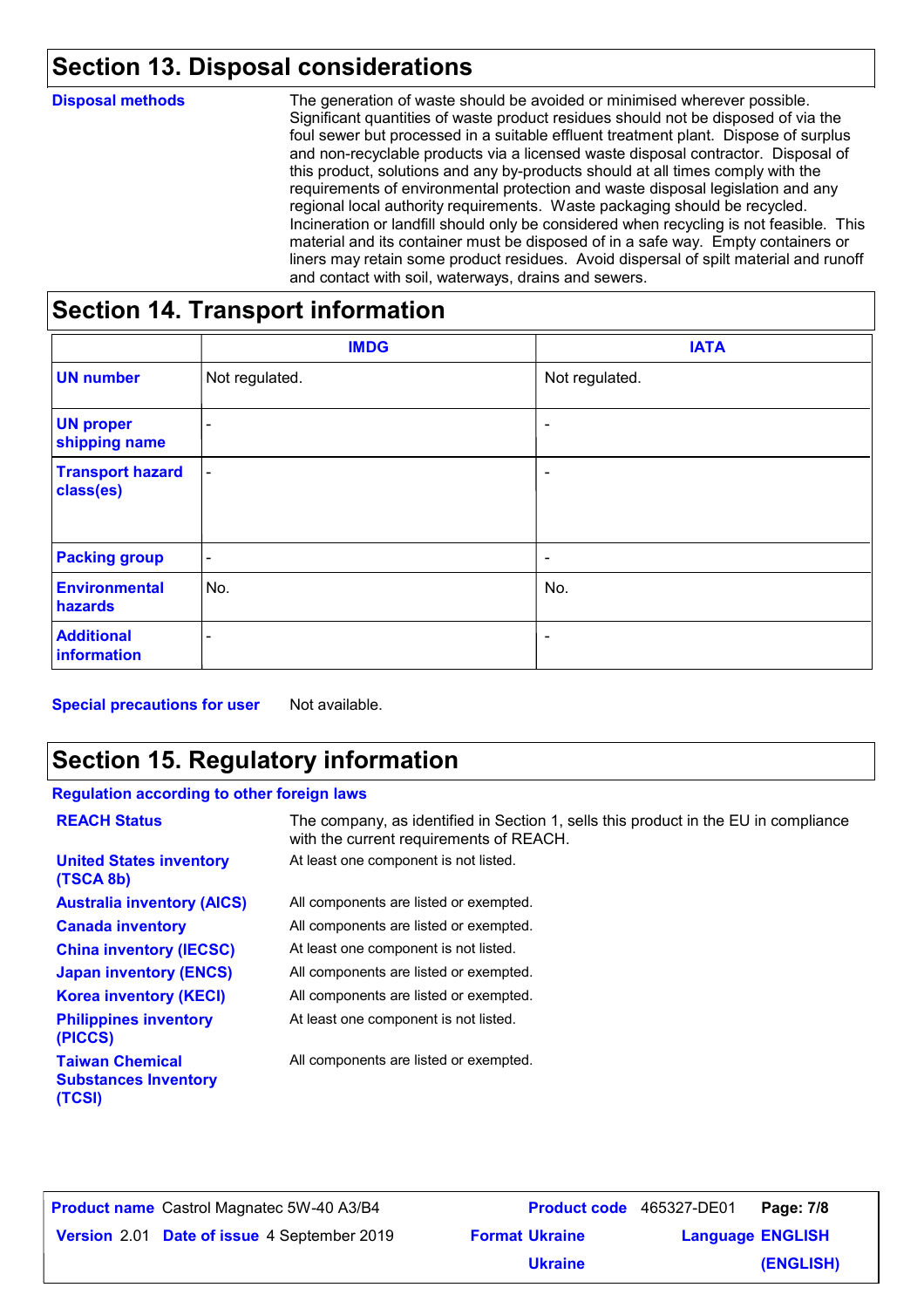# **Section 13. Disposal considerations**

| <b>Disposal methods</b> | The generation of waste should be avoided or minimised wherever possible.<br>Significant quantities of waste product residues should not be disposed of via the<br>foul sewer but processed in a suitable effluent treatment plant. Dispose of surplus<br>and non-recyclable products via a licensed waste disposal contractor. Disposal of<br>this product, solutions and any by-products should at all times comply with the<br>requirements of environmental protection and waste disposal legislation and any<br>regional local authority requirements. Waste packaging should be recycled.<br>Incineration or landfill should only be considered when recycling is not feasible. This<br>material and its container must be disposed of in a safe way. Empty containers or<br>liners may retain some product residues. Avoid dispersal of spilt material and runoff<br>and contact with soil, waterways, drains and sewers. |
|-------------------------|----------------------------------------------------------------------------------------------------------------------------------------------------------------------------------------------------------------------------------------------------------------------------------------------------------------------------------------------------------------------------------------------------------------------------------------------------------------------------------------------------------------------------------------------------------------------------------------------------------------------------------------------------------------------------------------------------------------------------------------------------------------------------------------------------------------------------------------------------------------------------------------------------------------------------------|
|                         |                                                                                                                                                                                                                                                                                                                                                                                                                                                                                                                                                                                                                                                                                                                                                                                                                                                                                                                                  |

### **Section 14. Transport information**

|                                      | <b>IMDG</b>              | <b>IATA</b>              |
|--------------------------------------|--------------------------|--------------------------|
| <b>UN number</b>                     | Not regulated.           | Not regulated.           |
| <b>UN proper</b><br>shipping name    | -                        | $\overline{\phantom{a}}$ |
| <b>Transport hazard</b><br>class(es) | $\overline{\phantom{a}}$ | ٠                        |
| <b>Packing group</b>                 | $\overline{\phantom{a}}$ | $\overline{\phantom{a}}$ |
| <b>Environmental</b><br>hazards      | No.                      | No.                      |
| <b>Additional</b><br>information     | $\overline{\phantom{a}}$ | ۰                        |

**Special precautions for user** Not available.

## **Section 15. Regulatory information**

### **Regulation according to other foreign laws**

| <b>REACH Status</b>                                             | The company, as identified in Section 1, sells this product in the EU in compliance<br>with the current requirements of REACH. |
|-----------------------------------------------------------------|--------------------------------------------------------------------------------------------------------------------------------|
| <b>United States inventory</b><br>(TSCA 8b)                     | At least one component is not listed.                                                                                          |
| <b>Australia inventory (AICS)</b>                               | All components are listed or exempted.                                                                                         |
| <b>Canada inventory</b>                                         | All components are listed or exempted.                                                                                         |
| <b>China inventory (IECSC)</b>                                  | At least one component is not listed.                                                                                          |
| <b>Japan inventory (ENCS)</b>                                   | All components are listed or exempted.                                                                                         |
| <b>Korea inventory (KECI)</b>                                   | All components are listed or exempted.                                                                                         |
| <b>Philippines inventory</b><br>(PICCS)                         | At least one component is not listed.                                                                                          |
| <b>Taiwan Chemical</b><br><b>Substances Inventory</b><br>(TCSI) | All components are listed or exempted.                                                                                         |